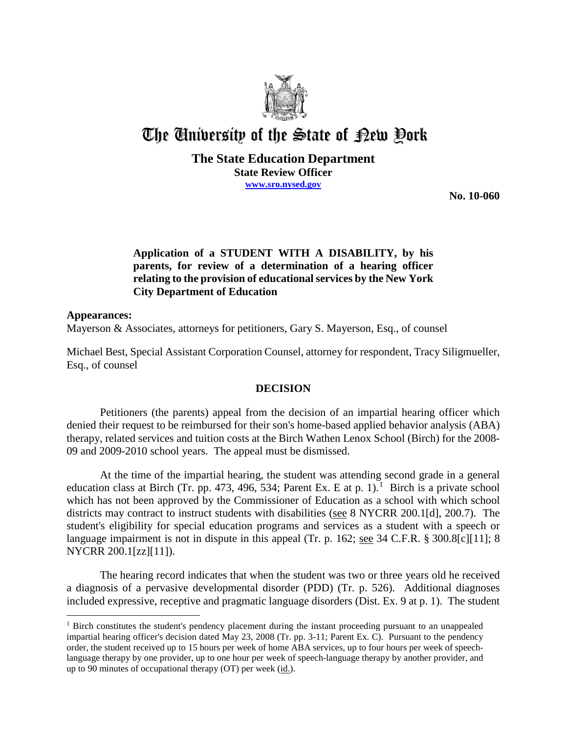

# The University of the State of Pew Pork

#### **The State Education Department State Review Officer www.sro.nysed.gov**

**No. 10-060** 

### **Application of a STUDENT WITH A DISABILITY, by his parents, for review of a determination of a hearing officer relating to the provision of educational services by the New York City Department of Education**

#### **Appearances:**

 $\overline{a}$ 

Mayerson & Associates, attorneys for petitioners, Gary S. Mayerson, Esq., of counsel

Michael Best, Special Assistant Corporation Counsel, attorney for respondent, Tracy Siligmueller, Esq., of counsel

#### **DECISION**

Petitioners (the parents) appeal from the decision of an impartial hearing officer which denied their request to be reimbursed for their son's home-based applied behavior analysis (ABA) therapy, related services and tuition costs at the Birch Wathen Lenox School (Birch) for the 2008- 09 and 2009-2010 school years. The appeal must be dismissed.

At the time of the impartial hearing, the student was attending second grade in a general education class at Birch (Tr. pp. 473, 496, 534; Parent Ex. E at p. 1).<sup>1</sup> Birch is a private school which has not been approved by the Commissioner of Education as a school with which school districts may contract to instruct students with disabilities (see 8 NYCRR 200.1[d], 200.7). The student's eligibility for special education programs and services as a student with a speech or language impairment is not in dispute in this appeal (Tr. p. 162; see 34 C.F.R. § 300.8[c][11]; 8 NYCRR 200.1[zz][11]).

The hearing record indicates that when the student was two or three years old he received a diagnosis of a pervasive developmental disorder (PDD) (Tr. p. 526). Additional diagnoses included expressive, receptive and pragmatic language disorders (Dist. Ex. 9 at p. 1). The student

<sup>&</sup>lt;sup>1</sup> Birch constitutes the student's pendency placement during the instant proceeding pursuant to an unappealed impartial hearing officer's decision dated May 23, 2008 (Tr. pp. 3-11; Parent Ex. C). Pursuant to the pendency order, the student received up to 15 hours per week of home ABA services, up to four hours per week of speechlanguage therapy by one provider, up to one hour per week of speech-language therapy by another provider, and up to 90 minutes of occupational therapy (OT) per week (id.).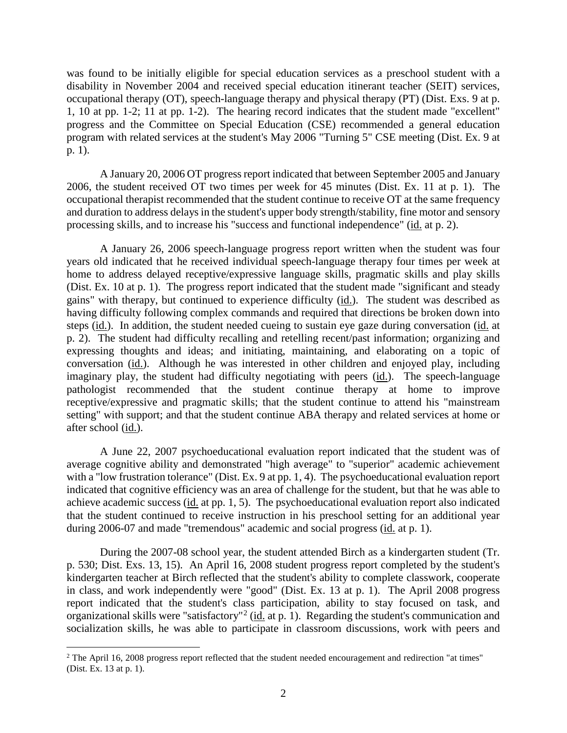was found to be initially eligible for special education services as a preschool student with a disability in November 2004 and received special education itinerant teacher (SEIT) services, occupational therapy (OT), speech-language therapy and physical therapy (PT) (Dist. Exs. 9 at p. 1, 10 at pp. 1-2; 11 at pp. 1-2). The hearing record indicates that the student made "excellent" progress and the Committee on Special Education (CSE) recommended a general education program with related services at the student's May 2006 "Turning 5" CSE meeting (Dist. Ex. 9 at p. 1).

A January 20, 2006 OT progress report indicated that between September 2005 and January 2006, the student received OT two times per week for 45 minutes (Dist. Ex. 11 at p. 1). The occupational therapist recommended that the student continue to receive OT at the same frequency and duration to address delays in the student's upper body strength/stability, fine motor and sensory processing skills, and to increase his "success and functional independence" (id. at p. 2).

A January 26, 2006 speech-language progress report written when the student was four years old indicated that he received individual speech-language therapy four times per week at home to address delayed receptive/expressive language skills, pragmatic skills and play skills (Dist. Ex. 10 at p. 1). The progress report indicated that the student made "significant and steady gains" with therapy, but continued to experience difficulty (id.). The student was described as having difficulty following complex commands and required that directions be broken down into steps (id.). In addition, the student needed cueing to sustain eye gaze during conversation (id. at p. 2). The student had difficulty recalling and retelling recent/past information; organizing and expressing thoughts and ideas; and initiating, maintaining, and elaborating on a topic of conversation (id.). Although he was interested in other children and enjoyed play, including imaginary play, the student had difficulty negotiating with peers (id.). The speech-language pathologist recommended that the student continue therapy at home to improve receptive/expressive and pragmatic skills; that the student continue to attend his "mainstream setting" with support; and that the student continue ABA therapy and related services at home or after school (id.).

A June 22, 2007 psychoeducational evaluation report indicated that the student was of average cognitive ability and demonstrated "high average" to "superior" academic achievement with a "low frustration tolerance" (Dist. Ex. 9 at pp. 1, 4). The psychoeducational evaluation report indicated that cognitive efficiency was an area of challenge for the student, but that he was able to achieve academic success  $(i_d$  at pp. 1, 5). The psychoeducational evaluation report also indicated that the student continued to receive instruction in his preschool setting for an additional year during 2006-07 and made "tremendous" academic and social progress (id. at p. 1).

During the 2007-08 school year, the student attended Birch as a kindergarten student (Tr. p. 530; Dist. Exs. 13, 15). An April 16, 2008 student progress report completed by the student's kindergarten teacher at Birch reflected that the student's ability to complete classwork, cooperate in class, and work independently were "good" (Dist. Ex. 13 at p. 1). The April 2008 progress report indicated that the student's class participation, ability to stay focused on task, and organizational skills were "satisfactory"<sup>2</sup> (id. at p. 1). Regarding the student's communication and socialization skills, he was able to participate in classroom discussions, work with peers and

 $2$  The April 16, 2008 progress report reflected that the student needed encouragement and redirection "at times" (Dist. Ex. 13 at p. 1).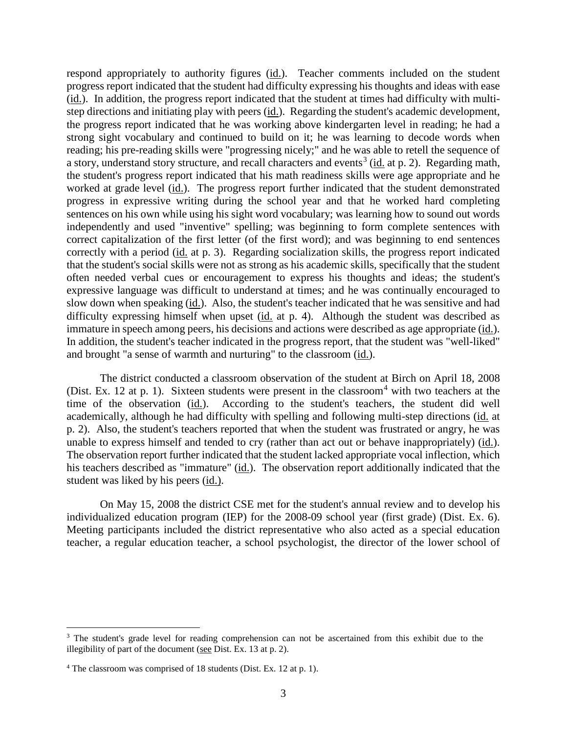respond appropriately to authority figures (id.). Teacher comments included on the student progress report indicated that the student had difficulty expressing his thoughts and ideas with ease (id.). In addition, the progress report indicated that the student at times had difficulty with multistep directions and initiating play with peers (id.). Regarding the student's academic development, the progress report indicated that he was working above kindergarten level in reading; he had a strong sight vocabulary and continued to build on it; he was learning to decode words when reading; his pre-reading skills were "progressing nicely;" and he was able to retell the sequence of a story, understand story structure, and recall characters and events<sup>3</sup> (id. at p. 2). Regarding math, the student's progress report indicated that his math readiness skills were age appropriate and he worked at grade level (id.). The progress report further indicated that the student demonstrated progress in expressive writing during the school year and that he worked hard completing sentences on his own while using his sight word vocabulary; was learning how to sound out words independently and used "inventive" spelling; was beginning to form complete sentences with correct capitalization of the first letter (of the first word); and was beginning to end sentences correctly with a period (id. at p. 3). Regarding socialization skills, the progress report indicated that the student's social skills were not as strong as his academic skills, specifically that the student often needed verbal cues or encouragement to express his thoughts and ideas; the student's expressive language was difficult to understand at times; and he was continually encouraged to slow down when speaking (id.). Also, the student's teacher indicated that he was sensitive and had difficulty expressing himself when upset (id. at p. 4). Although the student was described as immature in speech among peers, his decisions and actions were described as age appropriate (id.). In addition, the student's teacher indicated in the progress report, that the student was "well-liked" and brought "a sense of warmth and nurturing" to the classroom (id.).

The district conducted a classroom observation of the student at Birch on April 18, 2008 (Dist. Ex. 12 at p. 1). Sixteen students were present in the classroom<sup>4</sup> with two teachers at the time of the observation (id.). According to the student's teachers, the student did well academically, although he had difficulty with spelling and following multi-step directions (id. at p. 2). Also, the student's teachers reported that when the student was frustrated or angry, he was unable to express himself and tended to cry (rather than act out or behave inappropriately) (id.). The observation report further indicated that the student lacked appropriate vocal inflection, which his teachers described as "immature" (id.). The observation report additionally indicated that the student was liked by his peers (id.).

On May 15, 2008 the district CSE met for the student's annual review and to develop his individualized education program (IEP) for the 2008-09 school year (first grade) (Dist. Ex. 6). Meeting participants included the district representative who also acted as a special education teacher, a regular education teacher, a school psychologist, the director of the lower school of

<sup>&</sup>lt;sup>3</sup> The student's grade level for reading comprehension can not be ascertained from this exhibit due to the illegibility of part of the document (see Dist. Ex. 13 at p. 2).

<sup>4</sup> The classroom was comprised of 18 students (Dist. Ex. 12 at p. 1).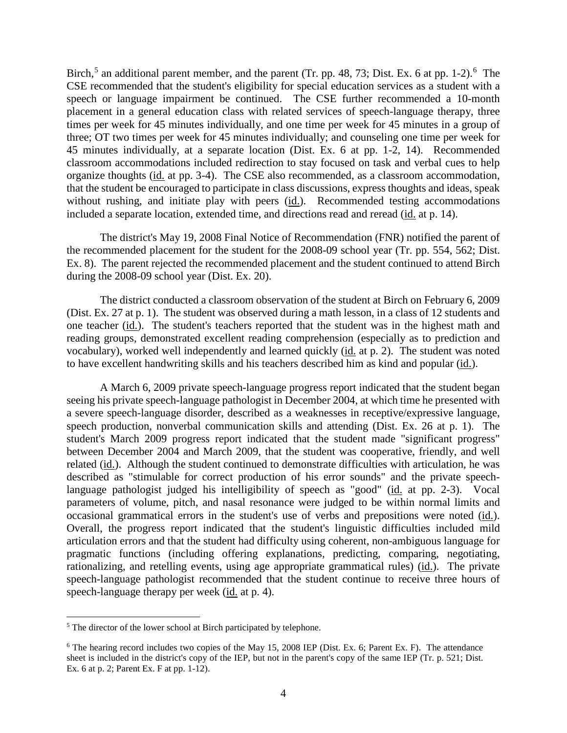Birch,<sup>5</sup> an additional parent member, and the parent (Tr. pp. 48, 73; Dist. Ex. 6 at pp. 1-2).<sup>6</sup> The CSE recommended that the student's eligibility for special education services as a student with a speech or language impairment be continued. The CSE further recommended a 10-month placement in a general education class with related services of speech-language therapy, three times per week for 45 minutes individually, and one time per week for 45 minutes in a group of three; OT two times per week for 45 minutes individually; and counseling one time per week for 45 minutes individually, at a separate location (Dist. Ex. 6 at pp. 1-2, 14). Recommended classroom accommodations included redirection to stay focused on task and verbal cues to help organize thoughts (id. at pp. 3-4). The CSE also recommended, as a classroom accommodation, that the student be encouraged to participate in class discussions, express thoughts and ideas, speak without rushing, and initiate play with peers (id.). Recommended testing accommodations included a separate location, extended time, and directions read and reread (id. at p. 14).

The district's May 19, 2008 Final Notice of Recommendation (FNR) notified the parent of the recommended placement for the student for the 2008-09 school year (Tr. pp. 554, 562; Dist. Ex. 8). The parent rejected the recommended placement and the student continued to attend Birch during the 2008-09 school year (Dist. Ex. 20).

The district conducted a classroom observation of the student at Birch on February 6, 2009 (Dist. Ex. 27 at p. 1). The student was observed during a math lesson, in a class of 12 students and one teacher (id.). The student's teachers reported that the student was in the highest math and reading groups, demonstrated excellent reading comprehension (especially as to prediction and vocabulary), worked well independently and learned quickly (id. at p. 2). The student was noted to have excellent handwriting skills and his teachers described him as kind and popular (id.).

A March 6, 2009 private speech-language progress report indicated that the student began seeing his private speech-language pathologist in December 2004, at which time he presented with a severe speech-language disorder, described as a weaknesses in receptive/expressive language, speech production, nonverbal communication skills and attending (Dist. Ex. 26 at p. 1). The student's March 2009 progress report indicated that the student made "significant progress" between December 2004 and March 2009, that the student was cooperative, friendly, and well related (id.). Although the student continued to demonstrate difficulties with articulation, he was described as "stimulable for correct production of his error sounds" and the private speechlanguage pathologist judged his intelligibility of speech as "good" (id. at pp. 2-3). Vocal parameters of volume, pitch, and nasal resonance were judged to be within normal limits and occasional grammatical errors in the student's use of verbs and prepositions were noted (id.). Overall, the progress report indicated that the student's linguistic difficulties included mild articulation errors and that the student had difficulty using coherent, non-ambiguous language for pragmatic functions (including offering explanations, predicting, comparing, negotiating, rationalizing, and retelling events, using age appropriate grammatical rules) (id.). The private speech-language pathologist recommended that the student continue to receive three hours of speech-language therapy per week (id. at p. 4).

<sup>&</sup>lt;sup>5</sup> The director of the lower school at Birch participated by telephone.

<sup>&</sup>lt;sup>6</sup> The hearing record includes two copies of the May 15, 2008 IEP (Dist. Ex. 6; Parent Ex. F). The attendance sheet is included in the district's copy of the IEP, but not in the parent's copy of the same IEP (Tr. p. 521; Dist. Ex. 6 at p. 2; Parent Ex. F at pp. 1-12).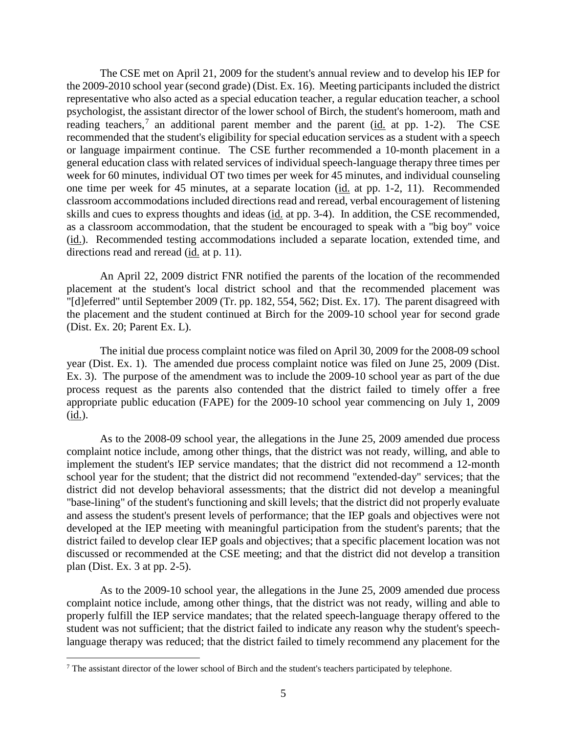The CSE met on April 21, 2009 for the student's annual review and to develop his IEP for the 2009-2010 school year (second grade) (Dist. Ex. 16). Meeting participants included the district representative who also acted as a special education teacher, a regular education teacher, a school psychologist, the assistant director of the lower school of Birch, the student's homeroom, math and reading teachers,<sup>7</sup> an additional parent member and the parent ( $\underline{\text{id}}$ , at pp. 1-2). The CSE recommended that the student's eligibility for special education services as a student with a speech or language impairment continue. The CSE further recommended a 10-month placement in a general education class with related services of individual speech-language therapy three times per week for 60 minutes, individual OT two times per week for 45 minutes, and individual counseling one time per week for 45 minutes, at a separate location (id. at pp. 1-2, 11). Recommended classroom accommodations included directions read and reread, verbal encouragement of listening skills and cues to express thoughts and ideas (id. at pp. 3-4). In addition, the CSE recommended, as a classroom accommodation, that the student be encouraged to speak with a "big boy" voice (id.). Recommended testing accommodations included a separate location, extended time, and directions read and reread (id. at p. 11).

An April 22, 2009 district FNR notified the parents of the location of the recommended placement at the student's local district school and that the recommended placement was "[d]eferred" until September 2009 (Tr. pp. 182, 554, 562; Dist. Ex. 17). The parent disagreed with the placement and the student continued at Birch for the 2009-10 school year for second grade (Dist. Ex. 20; Parent Ex. L).

The initial due process complaint notice was filed on April 30, 2009 for the 2008-09 school year (Dist. Ex. 1). The amended due process complaint notice was filed on June 25, 2009 (Dist. Ex. 3). The purpose of the amendment was to include the 2009-10 school year as part of the due process request as the parents also contended that the district failed to timely offer a free appropriate public education (FAPE) for the 2009-10 school year commencing on July 1, 2009 (id.).

As to the 2008-09 school year, the allegations in the June 25, 2009 amended due process complaint notice include, among other things, that the district was not ready, willing, and able to implement the student's IEP service mandates; that the district did not recommend a 12-month school year for the student; that the district did not recommend "extended-day" services; that the district did not develop behavioral assessments; that the district did not develop a meaningful "base-lining" of the student's functioning and skill levels; that the district did not properly evaluate and assess the student's present levels of performance; that the IEP goals and objectives were not developed at the IEP meeting with meaningful participation from the student's parents; that the district failed to develop clear IEP goals and objectives; that a specific placement location was not discussed or recommended at the CSE meeting; and that the district did not develop a transition plan (Dist. Ex. 3 at pp. 2-5).

As to the 2009-10 school year, the allegations in the June 25, 2009 amended due process complaint notice include, among other things, that the district was not ready, willing and able to properly fulfill the IEP service mandates; that the related speech-language therapy offered to the student was not sufficient; that the district failed to indicate any reason why the student's speechlanguage therapy was reduced; that the district failed to timely recommend any placement for the

 $<sup>7</sup>$  The assistant director of the lower school of Birch and the student's teachers participated by telephone.</sup>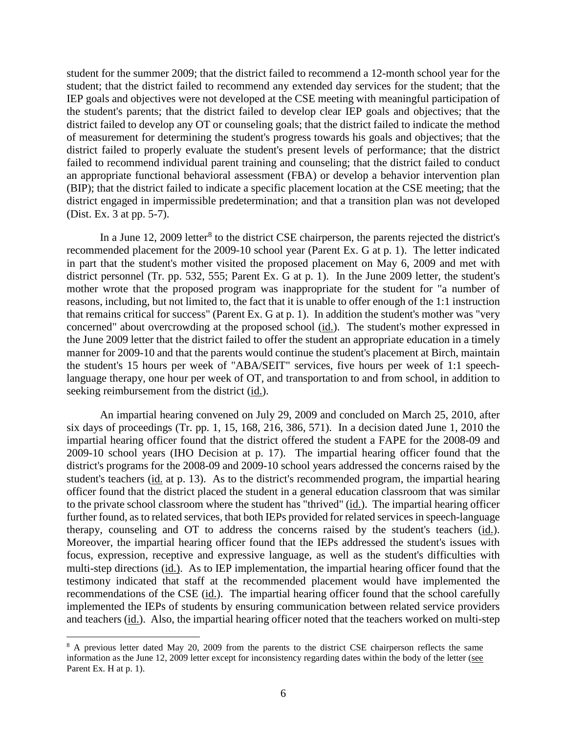student for the summer 2009; that the district failed to recommend a 12-month school year for the student; that the district failed to recommend any extended day services for the student; that the IEP goals and objectives were not developed at the CSE meeting with meaningful participation of the student's parents; that the district failed to develop clear IEP goals and objectives; that the district failed to develop any OT or counseling goals; that the district failed to indicate the method of measurement for determining the student's progress towards his goals and objectives; that the district failed to properly evaluate the student's present levels of performance; that the district failed to recommend individual parent training and counseling; that the district failed to conduct an appropriate functional behavioral assessment (FBA) or develop a behavior intervention plan (BIP); that the district failed to indicate a specific placement location at the CSE meeting; that the district engaged in impermissible predetermination; and that a transition plan was not developed (Dist. Ex. 3 at pp. 5-7).

In a June 12, 2009 letter<sup>8</sup> to the district CSE chairperson, the parents rejected the district's recommended placement for the 2009-10 school year (Parent Ex. G at p. 1). The letter indicated in part that the student's mother visited the proposed placement on May 6, 2009 and met with district personnel (Tr. pp. 532, 555; Parent Ex. G at p. 1). In the June 2009 letter, the student's mother wrote that the proposed program was inappropriate for the student for "a number of reasons, including, but not limited to, the fact that it is unable to offer enough of the 1:1 instruction that remains critical for success" (Parent Ex. G at p. 1). In addition the student's mother was "very concerned" about overcrowding at the proposed school (id.). The student's mother expressed in the June 2009 letter that the district failed to offer the student an appropriate education in a timely manner for 2009-10 and that the parents would continue the student's placement at Birch, maintain the student's 15 hours per week of "ABA/SEIT" services, five hours per week of 1:1 speechlanguage therapy, one hour per week of OT, and transportation to and from school, in addition to seeking reimbursement from the district (id.).

An impartial hearing convened on July 29, 2009 and concluded on March 25, 2010, after six days of proceedings (Tr. pp. 1, 15, 168, 216, 386, 571). In a decision dated June 1, 2010 the impartial hearing officer found that the district offered the student a FAPE for the 2008-09 and 2009-10 school years (IHO Decision at p. 17). The impartial hearing officer found that the district's programs for the 2008-09 and 2009-10 school years addressed the concerns raised by the student's teachers (id. at p. 13). As to the district's recommended program, the impartial hearing officer found that the district placed the student in a general education classroom that was similar to the private school classroom where the student has "thrived" (id.). The impartial hearing officer further found, as to related services, that both IEPs provided for related services in speech-language therapy, counseling and OT to address the concerns raised by the student's teachers (id.). Moreover, the impartial hearing officer found that the IEPs addressed the student's issues with focus, expression, receptive and expressive language, as well as the student's difficulties with multi-step directions (id.). As to IEP implementation, the impartial hearing officer found that the testimony indicated that staff at the recommended placement would have implemented the recommendations of the CSE (id.). The impartial hearing officer found that the school carefully implemented the IEPs of students by ensuring communication between related service providers and teachers (id.). Also, the impartial hearing officer noted that the teachers worked on multi-step

<sup>&</sup>lt;sup>8</sup> A previous letter dated May 20, 2009 from the parents to the district CSE chairperson reflects the same information as the June 12, 2009 letter except for inconsistency regarding dates within the body of the letter (see Parent Ex. H at p. 1).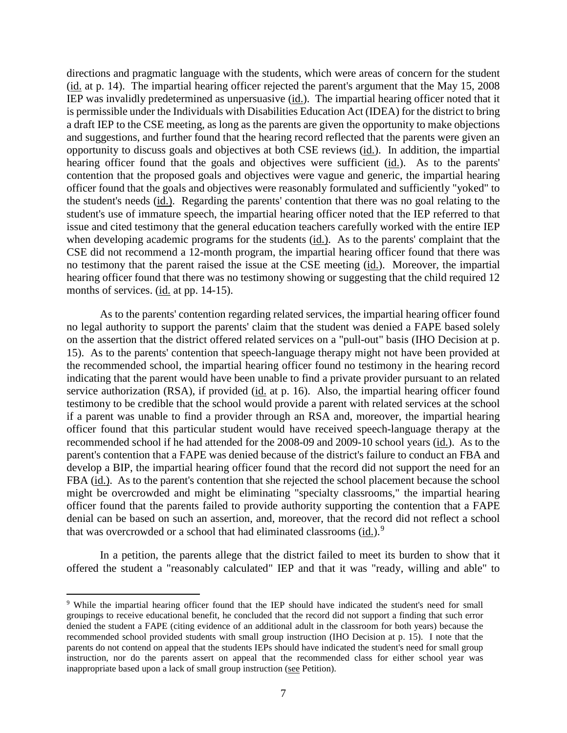directions and pragmatic language with the students, which were areas of concern for the student (id. at p. 14). The impartial hearing officer rejected the parent's argument that the May 15, 2008 IEP was invalidly predetermined as unpersuasive (id.). The impartial hearing officer noted that it is permissible under the Individuals with Disabilities Education Act (IDEA) for the district to bring a draft IEP to the CSE meeting, as long as the parents are given the opportunity to make objections and suggestions, and further found that the hearing record reflected that the parents were given an opportunity to discuss goals and objectives at both CSE reviews (id.). In addition, the impartial hearing officer found that the goals and objectives were sufficient (id.). As to the parents' contention that the proposed goals and objectives were vague and generic, the impartial hearing officer found that the goals and objectives were reasonably formulated and sufficiently "yoked" to the student's needs (id.). Regarding the parents' contention that there was no goal relating to the student's use of immature speech, the impartial hearing officer noted that the IEP referred to that issue and cited testimony that the general education teachers carefully worked with the entire IEP when developing academic programs for the students (id.). As to the parents' complaint that the CSE did not recommend a 12-month program, the impartial hearing officer found that there was no testimony that the parent raised the issue at the CSE meeting (id.). Moreover, the impartial hearing officer found that there was no testimony showing or suggesting that the child required 12 months of services. (id. at pp. 14-15).

As to the parents' contention regarding related services, the impartial hearing officer found no legal authority to support the parents' claim that the student was denied a FAPE based solely on the assertion that the district offered related services on a "pull-out" basis (IHO Decision at p. 15). As to the parents' contention that speech-language therapy might not have been provided at the recommended school, the impartial hearing officer found no testimony in the hearing record indicating that the parent would have been unable to find a private provider pursuant to an related service authorization (RSA), if provided (id. at p. 16). Also, the impartial hearing officer found testimony to be credible that the school would provide a parent with related services at the school if a parent was unable to find a provider through an RSA and, moreover, the impartial hearing officer found that this particular student would have received speech-language therapy at the recommended school if he had attended for the 2008-09 and 2009-10 school years (id.). As to the parent's contention that a FAPE was denied because of the district's failure to conduct an FBA and develop a BIP, the impartial hearing officer found that the record did not support the need for an FBA (id.). As to the parent's contention that she rejected the school placement because the school might be overcrowded and might be eliminating "specialty classrooms," the impartial hearing officer found that the parents failed to provide authority supporting the contention that a FAPE denial can be based on such an assertion, and, moreover, that the record did not reflect a school that was overcrowded or a school that had eliminated classrooms (id.).<sup>9</sup>

In a petition, the parents allege that the district failed to meet its burden to show that it offered the student a "reasonably calculated" IEP and that it was "ready, willing and able" to

 <sup>9</sup> While the impartial hearing officer found that the IEP should have indicated the student's need for small groupings to receive educational benefit, he concluded that the record did not support a finding that such error denied the student a FAPE (citing evidence of an additional adult in the classroom for both years) because the recommended school provided students with small group instruction (IHO Decision at p. 15). I note that the parents do not contend on appeal that the students IEPs should have indicated the student's need for small group instruction, nor do the parents assert on appeal that the recommended class for either school year was inappropriate based upon a lack of small group instruction (see Petition).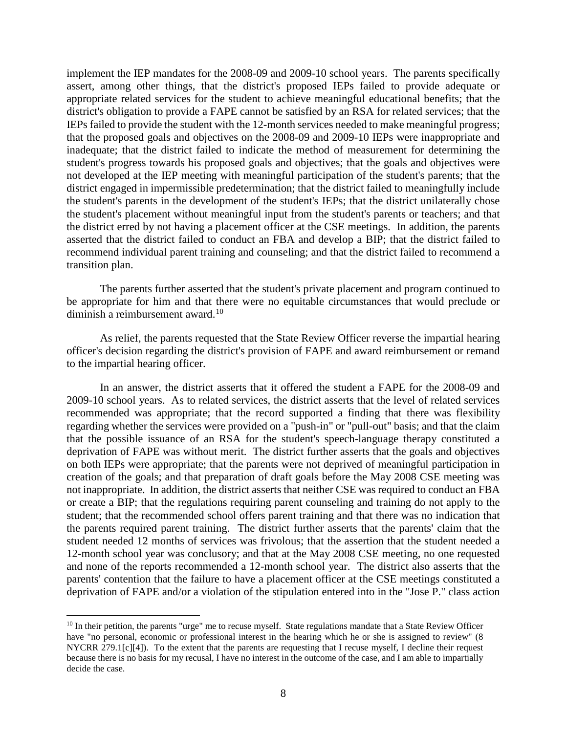implement the IEP mandates for the 2008-09 and 2009-10 school years. The parents specifically assert, among other things, that the district's proposed IEPs failed to provide adequate or appropriate related services for the student to achieve meaningful educational benefits; that the district's obligation to provide a FAPE cannot be satisfied by an RSA for related services; that the IEPs failed to provide the student with the 12-month services needed to make meaningful progress; that the proposed goals and objectives on the 2008-09 and 2009-10 IEPs were inappropriate and inadequate; that the district failed to indicate the method of measurement for determining the student's progress towards his proposed goals and objectives; that the goals and objectives were not developed at the IEP meeting with meaningful participation of the student's parents; that the district engaged in impermissible predetermination; that the district failed to meaningfully include the student's parents in the development of the student's IEPs; that the district unilaterally chose the student's placement without meaningful input from the student's parents or teachers; and that the district erred by not having a placement officer at the CSE meetings. In addition, the parents asserted that the district failed to conduct an FBA and develop a BIP; that the district failed to recommend individual parent training and counseling; and that the district failed to recommend a transition plan.

The parents further asserted that the student's private placement and program continued to be appropriate for him and that there were no equitable circumstances that would preclude or diminish a reimbursement award.<sup>10</sup>

As relief, the parents requested that the State Review Officer reverse the impartial hearing officer's decision regarding the district's provision of FAPE and award reimbursement or remand to the impartial hearing officer.

In an answer, the district asserts that it offered the student a FAPE for the 2008-09 and 2009-10 school years. As to related services, the district asserts that the level of related services recommended was appropriate; that the record supported a finding that there was flexibility regarding whether the services were provided on a "push-in" or "pull-out" basis; and that the claim that the possible issuance of an RSA for the student's speech-language therapy constituted a deprivation of FAPE was without merit. The district further asserts that the goals and objectives on both IEPs were appropriate; that the parents were not deprived of meaningful participation in creation of the goals; and that preparation of draft goals before the May 2008 CSE meeting was not inappropriate. In addition, the district asserts that neither CSE was required to conduct an FBA or create a BIP; that the regulations requiring parent counseling and training do not apply to the student; that the recommended school offers parent training and that there was no indication that the parents required parent training. The district further asserts that the parents' claim that the student needed 12 months of services was frivolous; that the assertion that the student needed a 12-month school year was conclusory; and that at the May 2008 CSE meeting, no one requested and none of the reports recommended a 12-month school year. The district also asserts that the parents' contention that the failure to have a placement officer at the CSE meetings constituted a deprivation of FAPE and/or a violation of the stipulation entered into in the "Jose P." class action

<sup>&</sup>lt;sup>10</sup> In their petition, the parents "urge" me to recuse myself. State regulations mandate that a State Review Officer have "no personal, economic or professional interest in the hearing which he or she is assigned to review" (8 NYCRR 279.1[c][4]). To the extent that the parents are requesting that I recuse myself, I decline their request because there is no basis for my recusal, I have no interest in the outcome of the case, and I am able to impartially decide the case.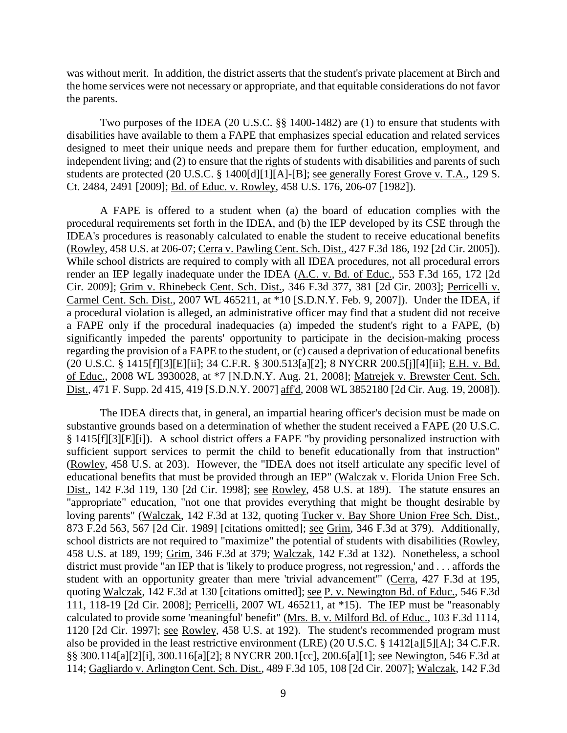was without merit. In addition, the district asserts that the student's private placement at Birch and the home services were not necessary or appropriate, and that equitable considerations do not favor the parents.

Two purposes of the IDEA (20 U.S.C. §§ 1400-1482) are (1) to ensure that students with disabilities have available to them a FAPE that emphasizes special education and related services designed to meet their unique needs and prepare them for further education, employment, and independent living; and (2) to ensure that the rights of students with disabilities and parents of such students are protected (20 U.S.C. § 1400[d][1][A]-[B]; see generally Forest Grove v. T.A., 129 S. Ct. 2484, 2491 [2009]; Bd. of Educ. v. Rowley, 458 U.S. 176, 206-07 [1982]).

A FAPE is offered to a student when (a) the board of education complies with the procedural requirements set forth in the IDEA, and (b) the IEP developed by its CSE through the IDEA's procedures is reasonably calculated to enable the student to receive educational benefits (Rowley, 458 U.S. at 206-07; Cerra v. Pawling Cent. Sch. Dist., 427 F.3d 186, 192 [2d Cir. 2005]). While school districts are required to comply with all IDEA procedures, not all procedural errors render an IEP legally inadequate under the IDEA (A.C. v. Bd. of Educ., 553 F.3d 165, 172 [2d Cir. 2009]; Grim v. Rhinebeck Cent. Sch. Dist., 346 F.3d 377, 381 [2d Cir. 2003]; Perricelli v. Carmel Cent. Sch. Dist., 2007 WL 465211, at \*10 [S.D.N.Y. Feb. 9, 2007]). Under the IDEA, if a procedural violation is alleged, an administrative officer may find that a student did not receive a FAPE only if the procedural inadequacies (a) impeded the student's right to a FAPE, (b) significantly impeded the parents' opportunity to participate in the decision-making process regarding the provision of a FAPE to the student, or (c) caused a deprivation of educational benefits (20 U.S.C. § 1415[f][3][E][ii]; 34 C.F.R. § 300.513[a][2]; 8 NYCRR 200.5[j][4][ii]; E.H. v. Bd. of Educ., 2008 WL 3930028, at \*7 [N.D.N.Y. Aug. 21, 2008]; Matrejek v. Brewster Cent. Sch. Dist., 471 F. Supp. 2d 415, 419 [S.D.N.Y. 2007] aff'd, 2008 WL 3852180 [2d Cir. Aug. 19, 2008]).

The IDEA directs that, in general, an impartial hearing officer's decision must be made on substantive grounds based on a determination of whether the student received a FAPE (20 U.S.C. § 1415[f][3][E][i]). A school district offers a FAPE "by providing personalized instruction with sufficient support services to permit the child to benefit educationally from that instruction" (Rowley, 458 U.S. at 203). However, the "IDEA does not itself articulate any specific level of educational benefits that must be provided through an IEP" (Walczak v. Florida Union Free Sch. Dist., 142 F.3d 119, 130 [2d Cir. 1998]; see Rowley, 458 U.S. at 189). The statute ensures an "appropriate" education, "not one that provides everything that might be thought desirable by loving parents" (Walczak, 142 F.3d at 132, quoting Tucker v. Bay Shore Union Free Sch. Dist., 873 F.2d 563, 567 [2d Cir. 1989] [citations omitted]; see Grim, 346 F.3d at 379). Additionally, school districts are not required to "maximize" the potential of students with disabilities (Rowley, 458 U.S. at 189, 199; Grim, 346 F.3d at 379; Walczak, 142 F.3d at 132). Nonetheless, a school district must provide "an IEP that is 'likely to produce progress, not regression,' and . . . affords the student with an opportunity greater than mere 'trivial advancement'" (Cerra, 427 F.3d at 195, quoting Walczak, 142 F.3d at 130 [citations omitted]; see P. v. Newington Bd. of Educ., 546 F.3d 111, 118-19 [2d Cir. 2008]; Perricelli, 2007 WL 465211, at \*15). The IEP must be "reasonably calculated to provide some 'meaningful' benefit" (Mrs. B. v. Milford Bd. of Educ., 103 F.3d 1114, 1120 [2d Cir. 1997]; see Rowley, 458 U.S. at 192). The student's recommended program must also be provided in the least restrictive environment (LRE) (20 U.S.C. § 1412[a][5][A]; 34 C.F.R. §§ 300.114[a][2][i], 300.116[a][2]; 8 NYCRR 200.1[cc], 200.6[a][1]; see Newington, 546 F.3d at 114; Gagliardo v. Arlington Cent. Sch. Dist., 489 F.3d 105, 108 [2d Cir. 2007]; Walczak, 142 F.3d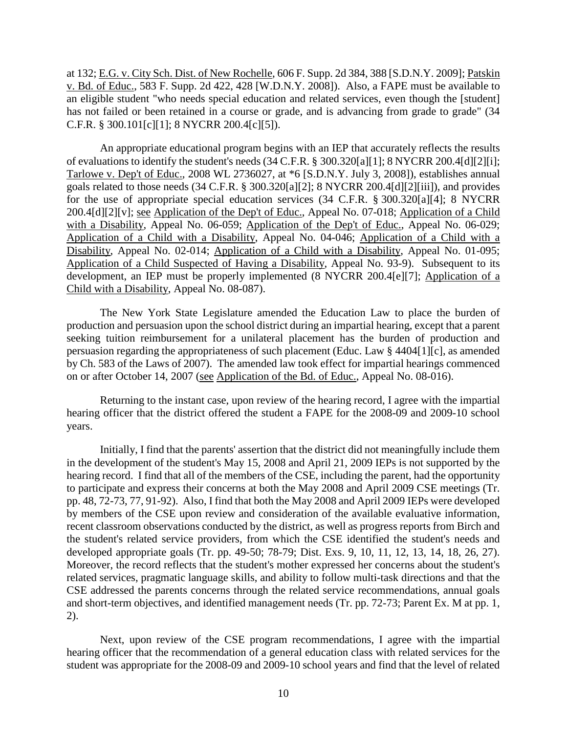at 132; E.G. v. City Sch. Dist. of New Rochelle, 606 F. Supp. 2d 384, 388 [S.D.N.Y. 2009]; Patskin v. Bd. of Educ., 583 F. Supp. 2d 422, 428 [W.D.N.Y. 2008]). Also, a FAPE must be available to an eligible student "who needs special education and related services, even though the [student] has not failed or been retained in a course or grade, and is advancing from grade to grade" (34 C.F.R. § 300.101[c][1]; 8 NYCRR 200.4[c][5]).

An appropriate educational program begins with an IEP that accurately reflects the results of evaluations to identify the student's needs (34 C.F.R. § 300.320[a][1]; 8 NYCRR 200.4[d][2][i]; Tarlowe v. Dep't of Educ., 2008 WL 2736027, at \*6 [S.D.N.Y. July 3, 2008]), establishes annual goals related to those needs (34 C.F.R. § 300.320[a][2]; 8 NYCRR 200.4[d][2][iii]), and provides for the use of appropriate special education services (34 C.F.R. § 300.320[a][4]; 8 NYCRR 200.4[d][2][v]; see Application of the Dep't of Educ., Appeal No. 07-018; Application of a Child with a Disability, Appeal No. 06-059; Application of the Dep't of Educ., Appeal No. 06-029; Application of a Child with a Disability, Appeal No. 04-046; Application of a Child with a Disability, Appeal No. 02-014; Application of a Child with a Disability, Appeal No. 01-095; Application of a Child Suspected of Having a Disability, Appeal No. 93-9). Subsequent to its development, an IEP must be properly implemented (8 NYCRR 200.4[e][7]; Application of a Child with a Disability, Appeal No. 08-087).

The New York State Legislature amended the Education Law to place the burden of production and persuasion upon the school district during an impartial hearing, except that a parent seeking tuition reimbursement for a unilateral placement has the burden of production and persuasion regarding the appropriateness of such placement (Educ. Law § 4404[1][c], as amended by Ch. 583 of the Laws of 2007). The amended law took effect for impartial hearings commenced on or after October 14, 2007 (see Application of the Bd. of Educ., Appeal No. 08-016).

Returning to the instant case, upon review of the hearing record, I agree with the impartial hearing officer that the district offered the student a FAPE for the 2008-09 and 2009-10 school years.

Initially, I find that the parents' assertion that the district did not meaningfully include them in the development of the student's May 15, 2008 and April 21, 2009 IEPs is not supported by the hearing record. I find that all of the members of the CSE, including the parent, had the opportunity to participate and express their concerns at both the May 2008 and April 2009 CSE meetings (Tr. pp. 48, 72-73, 77, 91-92). Also, I find that both the May 2008 and April 2009 IEPs were developed by members of the CSE upon review and consideration of the available evaluative information, recent classroom observations conducted by the district, as well as progress reports from Birch and the student's related service providers, from which the CSE identified the student's needs and developed appropriate goals (Tr. pp. 49-50; 78-79; Dist. Exs. 9, 10, 11, 12, 13, 14, 18, 26, 27). Moreover, the record reflects that the student's mother expressed her concerns about the student's related services, pragmatic language skills, and ability to follow multi-task directions and that the CSE addressed the parents concerns through the related service recommendations, annual goals and short-term objectives, and identified management needs (Tr. pp. 72-73; Parent Ex. M at pp. 1, 2).

Next, upon review of the CSE program recommendations, I agree with the impartial hearing officer that the recommendation of a general education class with related services for the student was appropriate for the 2008-09 and 2009-10 school years and find that the level of related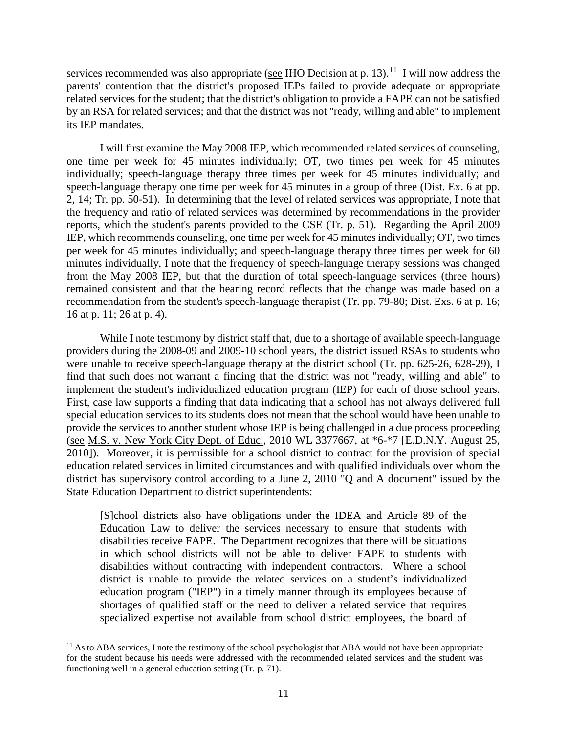services recommended was also appropriate (see IHO Decision at p. 13).<sup>11</sup> I will now address the parents' contention that the district's proposed IEPs failed to provide adequate or appropriate related services for the student; that the district's obligation to provide a FAPE can not be satisfied by an RSA for related services; and that the district was not "ready, willing and able" to implement its IEP mandates.

I will first examine the May 2008 IEP, which recommended related services of counseling, one time per week for 45 minutes individually; OT, two times per week for 45 minutes individually; speech-language therapy three times per week for 45 minutes individually; and speech-language therapy one time per week for 45 minutes in a group of three (Dist. Ex. 6 at pp. 2, 14; Tr. pp. 50-51). In determining that the level of related services was appropriate, I note that the frequency and ratio of related services was determined by recommendations in the provider reports, which the student's parents provided to the CSE (Tr. p. 51). Regarding the April 2009 IEP, which recommends counseling, one time per week for 45 minutes individually; OT, two times per week for 45 minutes individually; and speech-language therapy three times per week for 60 minutes individually, I note that the frequency of speech-language therapy sessions was changed from the May 2008 IEP, but that the duration of total speech-language services (three hours) remained consistent and that the hearing record reflects that the change was made based on a recommendation from the student's speech-language therapist (Tr. pp. 79-80; Dist. Exs. 6 at p. 16; 16 at p. 11; 26 at p. 4).

While I note testimony by district staff that, due to a shortage of available speech-language providers during the 2008-09 and 2009-10 school years, the district issued RSAs to students who were unable to receive speech-language therapy at the district school (Tr. pp. 625-26, 628-29), I find that such does not warrant a finding that the district was not "ready, willing and able" to implement the student's individualized education program (IEP) for each of those school years. First, case law supports a finding that data indicating that a school has not always delivered full special education services to its students does not mean that the school would have been unable to provide the services to another student whose IEP is being challenged in a due process proceeding (see M.S. v. New York City Dept. of Educ., 2010 WL 3377667, at \*6-\*7 [E.D.N.Y. August 25, 2010]). Moreover, it is permissible for a school district to contract for the provision of special education related services in limited circumstances and with qualified individuals over whom the district has supervisory control according to a June 2, 2010 "Q and A document" issued by the State Education Department to district superintendents:

[S]chool districts also have obligations under the IDEA and Article 89 of the Education Law to deliver the services necessary to ensure that students with disabilities receive FAPE. The Department recognizes that there will be situations in which school districts will not be able to deliver FAPE to students with disabilities without contracting with independent contractors. Where a school district is unable to provide the related services on a student's individualized education program ("IEP") in a timely manner through its employees because of shortages of qualified staff or the need to deliver a related service that requires specialized expertise not available from school district employees, the board of

<sup>&</sup>lt;sup>11</sup> As to ABA services, I note the testimony of the school psychologist that ABA would not have been appropriate for the student because his needs were addressed with the recommended related services and the student was functioning well in a general education setting (Tr. p. 71).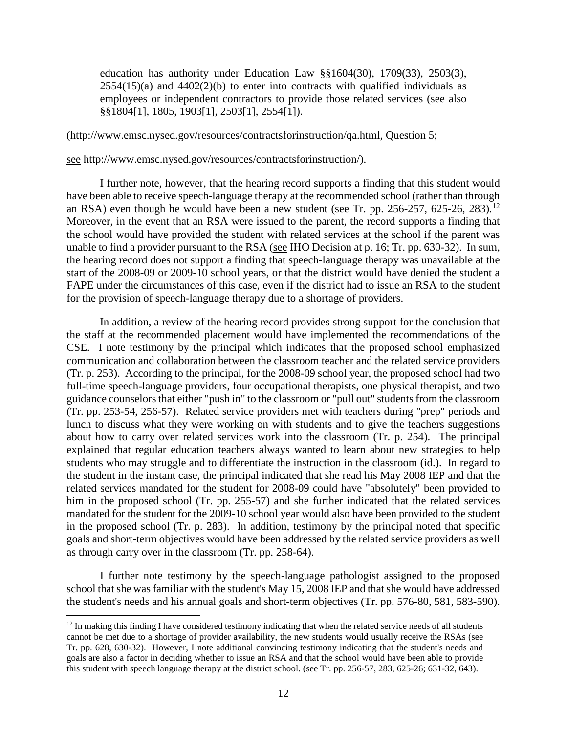education has authority under Education Law §§1604(30), 1709(33), 2503(3),  $2554(15)$ (a) and  $4402(2)$ (b) to enter into contracts with qualified individuals as employees or independent contractors to provide those related services (see also §§1804[1], 1805, 1903[1], 2503[1], 2554[1]).

(http://www.emsc.nysed.gov/resources/contractsforinstruction/qa.html, Question 5;

see http://www.emsc.nysed.gov/resources/contractsforinstruction/).

I further note, however, that the hearing record supports a finding that this student would have been able to receive speech-language therapy at the recommended school (rather than through an RSA) even though he would have been a new student (see Tr. pp. 256-257, 625-26, 283).<sup>12</sup> Moreover, in the event that an RSA were issued to the parent, the record supports a finding that the school would have provided the student with related services at the school if the parent was unable to find a provider pursuant to the RSA (see IHO Decision at p. 16; Tr. pp. 630-32). In sum, the hearing record does not support a finding that speech-language therapy was unavailable at the start of the 2008-09 or 2009-10 school years, or that the district would have denied the student a FAPE under the circumstances of this case, even if the district had to issue an RSA to the student for the provision of speech-language therapy due to a shortage of providers.

In addition, a review of the hearing record provides strong support for the conclusion that the staff at the recommended placement would have implemented the recommendations of the CSE. I note testimony by the principal which indicates that the proposed school emphasized communication and collaboration between the classroom teacher and the related service providers (Tr. p. 253). According to the principal, for the 2008-09 school year, the proposed school had two full-time speech-language providers, four occupational therapists, one physical therapist, and two guidance counselors that either "push in" to the classroom or "pull out" students from the classroom (Tr. pp. 253-54, 256-57). Related service providers met with teachers during "prep" periods and lunch to discuss what they were working on with students and to give the teachers suggestions about how to carry over related services work into the classroom (Tr. p. 254). The principal explained that regular education teachers always wanted to learn about new strategies to help students who may struggle and to differentiate the instruction in the classroom (id.). In regard to the student in the instant case, the principal indicated that she read his May 2008 IEP and that the related services mandated for the student for 2008-09 could have "absolutely" been provided to him in the proposed school (Tr. pp. 255-57) and she further indicated that the related services mandated for the student for the 2009-10 school year would also have been provided to the student in the proposed school (Tr. p. 283). In addition, testimony by the principal noted that specific goals and short-term objectives would have been addressed by the related service providers as well as through carry over in the classroom (Tr. pp. 258-64).

I further note testimony by the speech-language pathologist assigned to the proposed school that she was familiar with the student's May 15, 2008 IEP and that she would have addressed the student's needs and his annual goals and short-term objectives (Tr. pp. 576-80, 581, 583-590).

 $12$  In making this finding I have considered testimony indicating that when the related service needs of all students cannot be met due to a shortage of provider availability, the new students would usually receive the RSAs (see Tr. pp. 628, 630-32). However, I note additional convincing testimony indicating that the student's needs and goals are also a factor in deciding whether to issue an RSA and that the school would have been able to provide this student with speech language therapy at the district school. (see Tr. pp. 256-57, 283, 625-26; 631-32, 643).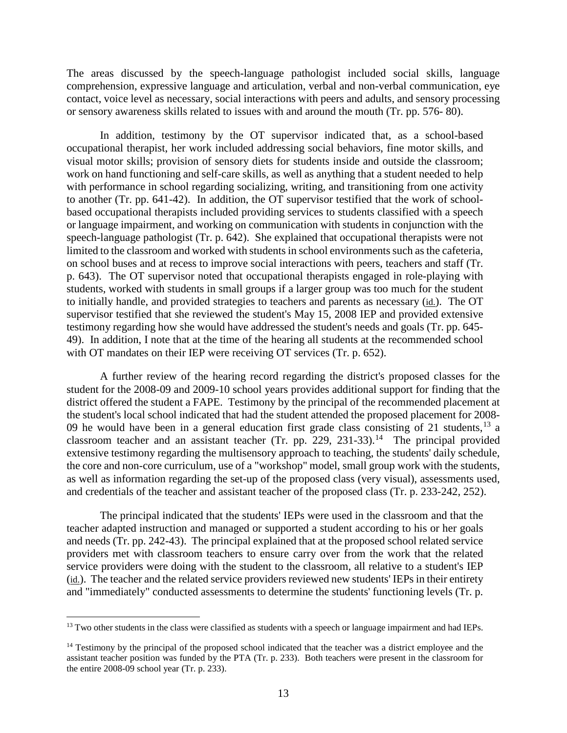The areas discussed by the speech-language pathologist included social skills, language comprehension, expressive language and articulation, verbal and non-verbal communication, eye contact, voice level as necessary, social interactions with peers and adults, and sensory processing or sensory awareness skills related to issues with and around the mouth (Tr. pp. 576- 80).

In addition, testimony by the OT supervisor indicated that, as a school-based occupational therapist, her work included addressing social behaviors, fine motor skills, and visual motor skills; provision of sensory diets for students inside and outside the classroom; work on hand functioning and self-care skills, as well as anything that a student needed to help with performance in school regarding socializing, writing, and transitioning from one activity to another (Tr. pp. 641-42). In addition, the OT supervisor testified that the work of schoolbased occupational therapists included providing services to students classified with a speech or language impairment, and working on communication with students in conjunction with the speech-language pathologist (Tr. p. 642). She explained that occupational therapists were not limited to the classroom and worked with students in school environments such as the cafeteria, on school buses and at recess to improve social interactions with peers, teachers and staff (Tr. p. 643). The OT supervisor noted that occupational therapists engaged in role-playing with students, worked with students in small groups if a larger group was too much for the student to initially handle, and provided strategies to teachers and parents as necessary (id.). The OT supervisor testified that she reviewed the student's May 15, 2008 IEP and provided extensive testimony regarding how she would have addressed the student's needs and goals (Tr. pp. 645- 49). In addition, I note that at the time of the hearing all students at the recommended school with OT mandates on their IEP were receiving OT services (Tr. p. 652).

A further review of the hearing record regarding the district's proposed classes for the student for the 2008-09 and 2009-10 school years provides additional support for finding that the district offered the student a FAPE. Testimony by the principal of the recommended placement at the student's local school indicated that had the student attended the proposed placement for 2008- 09 he would have been in a general education first grade class consisting of 21 students,  $^{13}$  a classroom teacher and an assistant teacher (Tr. pp.  $229$ ,  $231-33$ ).<sup>14</sup> The principal provided extensive testimony regarding the multisensory approach to teaching, the students' daily schedule, the core and non-core curriculum, use of a "workshop" model, small group work with the students, as well as information regarding the set-up of the proposed class (very visual), assessments used, and credentials of the teacher and assistant teacher of the proposed class (Tr. p. 233-242, 252).

The principal indicated that the students' IEPs were used in the classroom and that the teacher adapted instruction and managed or supported a student according to his or her goals and needs (Tr. pp. 242-43). The principal explained that at the proposed school related service providers met with classroom teachers to ensure carry over from the work that the related service providers were doing with the student to the classroom, all relative to a student's IEP (id.). The teacher and the related service providers reviewed new students' IEPs in their entirety and "immediately" conducted assessments to determine the students' functioning levels (Tr. p.

<sup>&</sup>lt;sup>13</sup> Two other students in the class were classified as students with a speech or language impairment and had IEPs.

<sup>&</sup>lt;sup>14</sup> Testimony by the principal of the proposed school indicated that the teacher was a district employee and the assistant teacher position was funded by the PTA (Tr. p. 233). Both teachers were present in the classroom for the entire 2008-09 school year (Tr. p. 233).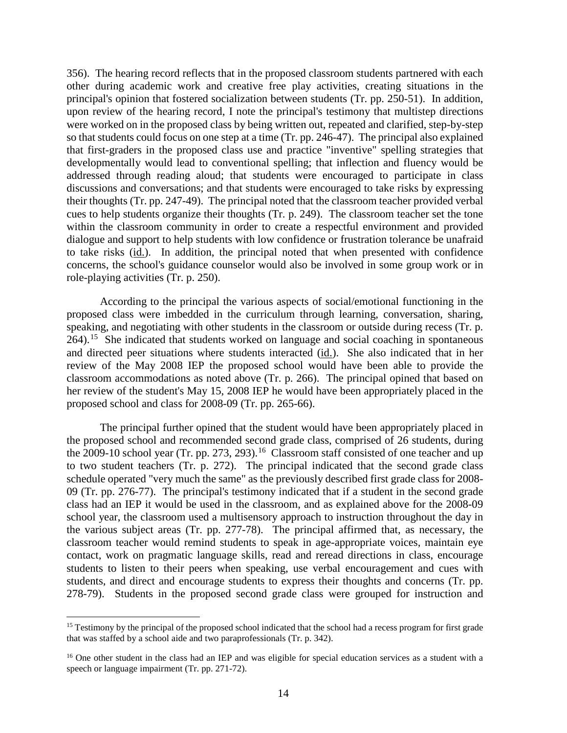356). The hearing record reflects that in the proposed classroom students partnered with each other during academic work and creative free play activities, creating situations in the principal's opinion that fostered socialization between students (Tr. pp. 250-51). In addition, upon review of the hearing record, I note the principal's testimony that multistep directions were worked on in the proposed class by being written out, repeated and clarified, step-by-step so that students could focus on one step at a time (Tr. pp. 246-47). The principal also explained that first-graders in the proposed class use and practice "inventive" spelling strategies that developmentally would lead to conventional spelling; that inflection and fluency would be addressed through reading aloud; that students were encouraged to participate in class discussions and conversations; and that students were encouraged to take risks by expressing their thoughts (Tr. pp. 247-49). The principal noted that the classroom teacher provided verbal cues to help students organize their thoughts (Tr. p. 249). The classroom teacher set the tone within the classroom community in order to create a respectful environment and provided dialogue and support to help students with low confidence or frustration tolerance be unafraid to take risks (id.). In addition, the principal noted that when presented with confidence concerns, the school's guidance counselor would also be involved in some group work or in role-playing activities (Tr. p. 250).

According to the principal the various aspects of social/emotional functioning in the proposed class were imbedded in the curriculum through learning, conversation, sharing, speaking, and negotiating with other students in the classroom or outside during recess (Tr. p.  $264$ ).<sup>15</sup> She indicated that students worked on language and social coaching in spontaneous and directed peer situations where students interacted (id.). She also indicated that in her review of the May 2008 IEP the proposed school would have been able to provide the classroom accommodations as noted above (Tr. p. 266). The principal opined that based on her review of the student's May 15, 2008 IEP he would have been appropriately placed in the proposed school and class for 2008-09 (Tr. pp. 265-66).

The principal further opined that the student would have been appropriately placed in the proposed school and recommended second grade class, comprised of 26 students, during the 2009-10 school year (Tr. pp. 273, 293).<sup>16</sup> Classroom staff consisted of one teacher and up to two student teachers (Tr. p. 272). The principal indicated that the second grade class schedule operated "very much the same" as the previously described first grade class for 2008- 09 (Tr. pp. 276-77). The principal's testimony indicated that if a student in the second grade class had an IEP it would be used in the classroom, and as explained above for the 2008-09 school year, the classroom used a multisensory approach to instruction throughout the day in the various subject areas (Tr. pp. 277-78). The principal affirmed that, as necessary, the classroom teacher would remind students to speak in age-appropriate voices, maintain eye contact, work on pragmatic language skills, read and reread directions in class, encourage students to listen to their peers when speaking, use verbal encouragement and cues with students, and direct and encourage students to express their thoughts and concerns (Tr. pp. 278-79). Students in the proposed second grade class were grouped for instruction and

<sup>&</sup>lt;sup>15</sup> Testimony by the principal of the proposed school indicated that the school had a recess program for first grade that was staffed by a school aide and two paraprofessionals (Tr. p. 342).

<sup>&</sup>lt;sup>16</sup> One other student in the class had an IEP and was eligible for special education services as a student with a speech or language impairment (Tr. pp. 271-72).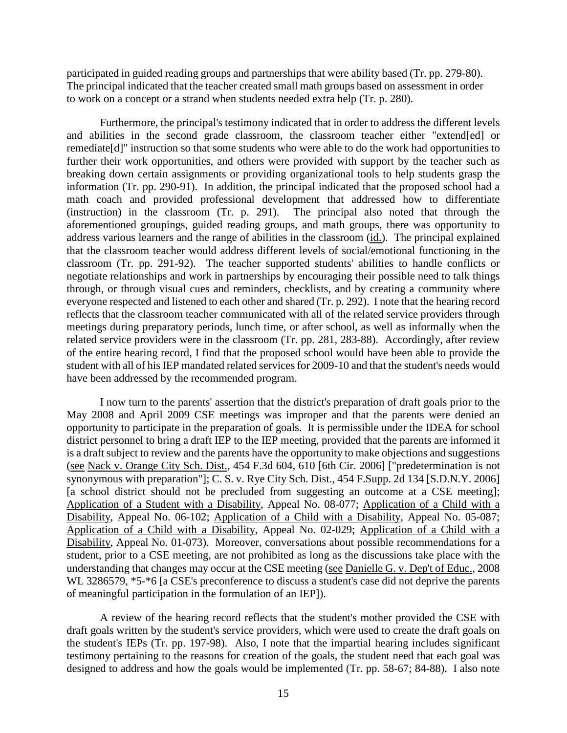participated in guided reading groups and partnerships that were ability based (Tr. pp. 279-80). The principal indicated that the teacher created small math groups based on assessment in order to work on a concept or a strand when students needed extra help (Tr. p. 280).

Furthermore, the principal's testimony indicated that in order to address the different levels and abilities in the second grade classroom, the classroom teacher either "extend[ed] or remediate[d]" instruction so that some students who were able to do the work had opportunities to further their work opportunities, and others were provided with support by the teacher such as breaking down certain assignments or providing organizational tools to help students grasp the information (Tr. pp. 290-91). In addition, the principal indicated that the proposed school had a math coach and provided professional development that addressed how to differentiate (instruction) in the classroom (Tr. p. 291). The principal also noted that through the aforementioned groupings, guided reading groups, and math groups, there was opportunity to address various learners and the range of abilities in the classroom (id.). The principal explained that the classroom teacher would address different levels of social/emotional functioning in the classroom (Tr. pp. 291-92). The teacher supported students' abilities to handle conflicts or negotiate relationships and work in partnerships by encouraging their possible need to talk things through, or through visual cues and reminders, checklists, and by creating a community where everyone respected and listened to each other and shared (Tr. p. 292). I note that the hearing record reflects that the classroom teacher communicated with all of the related service providers through meetings during preparatory periods, lunch time, or after school, as well as informally when the related service providers were in the classroom (Tr. pp. 281, 283-88). Accordingly, after review of the entire hearing record, I find that the proposed school would have been able to provide the student with all of his IEP mandated related services for 2009-10 and that the student's needs would have been addressed by the recommended program.

I now turn to the parents' assertion that the district's preparation of draft goals prior to the May 2008 and April 2009 CSE meetings was improper and that the parents were denied an opportunity to participate in the preparation of goals. It is permissible under the IDEA for school district personnel to bring a draft IEP to the IEP meeting, provided that the parents are informed it is a draft subject to review and the parents have the opportunity to make objections and suggestions (see Nack v. Orange City Sch. Dist., 454 F.3d 604, 610 [6th Cir. 2006] ["predetermination is not synonymous with preparation"]; C. S. v. Rye City Sch. Dist., 454 F.Supp. 2d 134 [S.D.N.Y. 2006] [a school district should not be precluded from suggesting an outcome at a CSE meeting]; Application of a Student with a Disability, Appeal No. 08-077; Application of a Child with a Disability, Appeal No. 06-102; Application of a Child with a Disability, Appeal No. 05-087; Application of a Child with a Disability, Appeal No. 02-029; Application of a Child with a Disability, Appeal No. 01-073). Moreover, conversations about possible recommendations for a student, prior to a CSE meeting, are not prohibited as long as the discussions take place with the understanding that changes may occur at the CSE meeting (see Danielle G. v. Dep't of Educ., 2008 WL 3286579,  $*5-*6$  [a CSE's preconference to discuss a student's case did not deprive the parents of meaningful participation in the formulation of an IEP]).

A review of the hearing record reflects that the student's mother provided the CSE with draft goals written by the student's service providers, which were used to create the draft goals on the student's IEPs (Tr. pp. 197-98). Also, I note that the impartial hearing includes significant testimony pertaining to the reasons for creation of the goals, the student need that each goal was designed to address and how the goals would be implemented (Tr. pp. 58-67; 84-88). I also note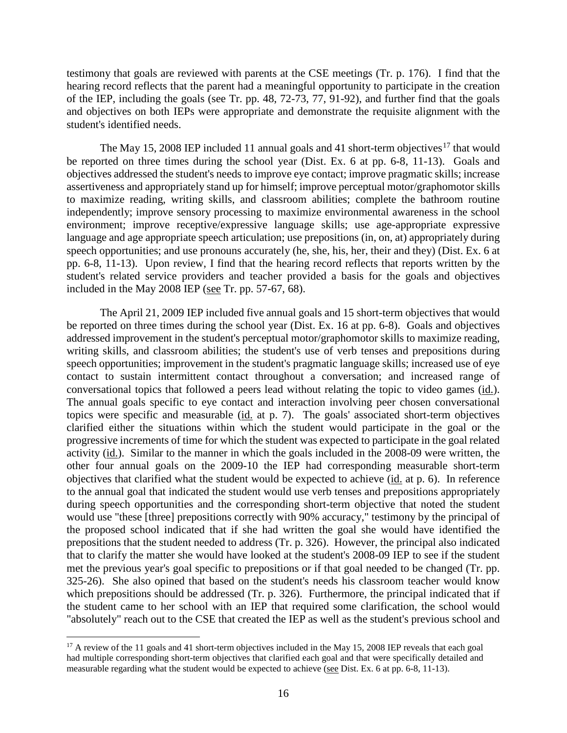testimony that goals are reviewed with parents at the CSE meetings (Tr. p. 176). I find that the hearing record reflects that the parent had a meaningful opportunity to participate in the creation of the IEP, including the goals (see Tr. pp. 48, 72-73, 77, 91-92), and further find that the goals and objectives on both IEPs were appropriate and demonstrate the requisite alignment with the student's identified needs.

The May 15, 2008 IEP included 11 annual goals and 41 short-term objectives<sup>17</sup> that would be reported on three times during the school year (Dist. Ex. 6 at pp. 6-8, 11-13). Goals and objectives addressed the student's needs to improve eye contact; improve pragmatic skills; increase assertiveness and appropriately stand up for himself; improve perceptual motor/graphomotor skills to maximize reading, writing skills, and classroom abilities; complete the bathroom routine independently; improve sensory processing to maximize environmental awareness in the school environment; improve receptive/expressive language skills; use age-appropriate expressive language and age appropriate speech articulation; use prepositions (in, on, at) appropriately during speech opportunities; and use pronouns accurately (he, she, his, her, their and they) (Dist. Ex. 6 at pp. 6-8, 11-13). Upon review, I find that the hearing record reflects that reports written by the student's related service providers and teacher provided a basis for the goals and objectives included in the May 2008 IEP (see Tr. pp. 57-67, 68).

The April 21, 2009 IEP included five annual goals and 15 short-term objectives that would be reported on three times during the school year (Dist. Ex. 16 at pp. 6-8). Goals and objectives addressed improvement in the student's perceptual motor/graphomotor skills to maximize reading, writing skills, and classroom abilities; the student's use of verb tenses and prepositions during speech opportunities; improvement in the student's pragmatic language skills; increased use of eye contact to sustain intermittent contact throughout a conversation; and increased range of conversational topics that followed a peers lead without relating the topic to video games (id.). The annual goals specific to eye contact and interaction involving peer chosen conversational topics were specific and measurable (id. at p. 7). The goals' associated short-term objectives clarified either the situations within which the student would participate in the goal or the progressive increments of time for which the student was expected to participate in the goal related activity (id.). Similar to the manner in which the goals included in the 2008-09 were written, the other four annual goals on the 2009-10 the IEP had corresponding measurable short-term objectives that clarified what the student would be expected to achieve (id. at p. 6). In reference to the annual goal that indicated the student would use verb tenses and prepositions appropriately during speech opportunities and the corresponding short-term objective that noted the student would use "these [three] prepositions correctly with 90% accuracy," testimony by the principal of the proposed school indicated that if she had written the goal she would have identified the prepositions that the student needed to address (Tr. p. 326). However, the principal also indicated that to clarify the matter she would have looked at the student's 2008-09 IEP to see if the student met the previous year's goal specific to prepositions or if that goal needed to be changed (Tr. pp. 325-26). She also opined that based on the student's needs his classroom teacher would know which prepositions should be addressed (Tr. p. 326). Furthermore, the principal indicated that if the student came to her school with an IEP that required some clarification, the school would "absolutely" reach out to the CSE that created the IEP as well as the student's previous school and

<sup>&</sup>lt;sup>17</sup> A review of the 11 goals and 41 short-term objectives included in the May 15, 2008 IEP reveals that each goal had multiple corresponding short-term objectives that clarified each goal and that were specifically detailed and measurable regarding what the student would be expected to achieve (see Dist. Ex. 6 at pp. 6-8, 11-13).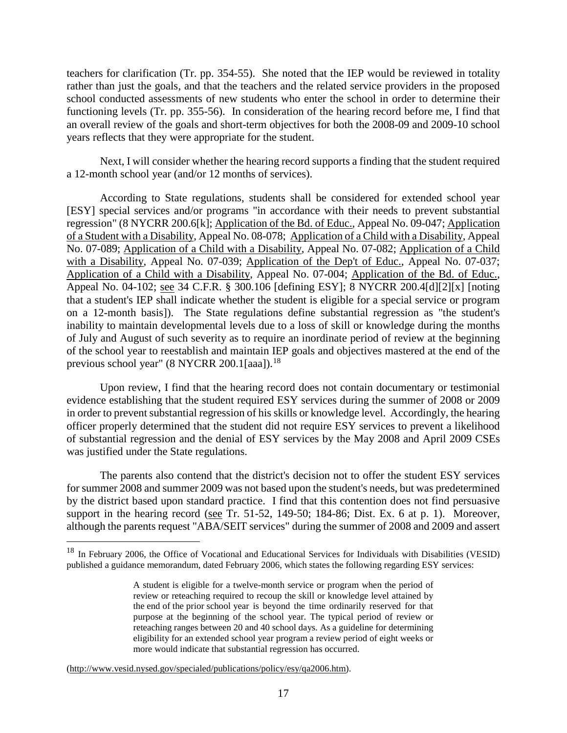teachers for clarification (Tr. pp. 354-55). She noted that the IEP would be reviewed in totality rather than just the goals, and that the teachers and the related service providers in the proposed school conducted assessments of new students who enter the school in order to determine their functioning levels (Tr. pp. 355-56). In consideration of the hearing record before me, I find that an overall review of the goals and short-term objectives for both the 2008-09 and 2009-10 school years reflects that they were appropriate for the student.

Next, I will consider whether the hearing record supports a finding that the student required a 12-month school year (and/or 12 months of services).

According to State regulations, students shall be considered for extended school year [ESY] special services and/or programs "in accordance with their needs to prevent substantial regression" (8 NYCRR 200.6[k]; Application of the Bd. of Educ., Appeal No. 09-047; Application of a Student with a Disability, Appeal No. 08-078; Application of a Child with a Disability, Appeal No. 07-089; Application of a Child with a Disability, Appeal No. 07-082; Application of a Child with a Disability, Appeal No. 07-039; Application of the Dep't of Educ., Appeal No. 07-037; Application of a Child with a Disability, Appeal No. 07-004; Application of the Bd. of Educ., Appeal No. 04-102; see 34 C.F.R. § 300.106 [defining ESY]; 8 NYCRR 200.4[d][2][x] [noting that a student's IEP shall indicate whether the student is eligible for a special service or program on a 12-month basis]). The State regulations define substantial regression as "the student's inability to maintain developmental levels due to a loss of skill or knowledge during the months of July and August of such severity as to require an inordinate period of review at the beginning of the school year to reestablish and maintain IEP goals and objectives mastered at the end of the previous school year" (8 NYCRR 200.1[aaa]).<sup>18</sup>

Upon review, I find that the hearing record does not contain documentary or testimonial evidence establishing that the student required ESY services during the summer of 2008 or 2009 in order to prevent substantial regression of his skills or knowledge level. Accordingly, the hearing officer properly determined that the student did not require ESY services to prevent a likelihood of substantial regression and the denial of ESY services by the May 2008 and April 2009 CSEs was justified under the State regulations.

The parents also contend that the district's decision not to offer the student ESY services for summer 2008 and summer 2009 was not based upon the student's needs, but was predetermined by the district based upon standard practice. I find that this contention does not find persuasive support in the hearing record (see Tr. 51-52, 149-50; 184-86; Dist. Ex. 6 at p. 1). Moreover, although the parents request "ABA/SEIT services" during the summer of 2008 and 2009 and assert

(http://www.vesid.nysed.gov/specialed/publications/policy/esy/qa2006.htm).

 <sup>18</sup> In February 2006, the Office of Vocational and Educational Services for Individuals with Disabilities (VESID) published a guidance memorandum, dated February 2006, which states the following regarding ESY services:

A student is eligible for a twelve-month service or program when the period of review or reteaching required to recoup the skill or knowledge level attained by the end of the prior school year is beyond the time ordinarily reserved for that purpose at the beginning of the school year. The typical period of review or reteaching ranges between 20 and 40 school days. As a guideline for determining eligibility for an extended school year program a review period of eight weeks or more would indicate that substantial regression has occurred.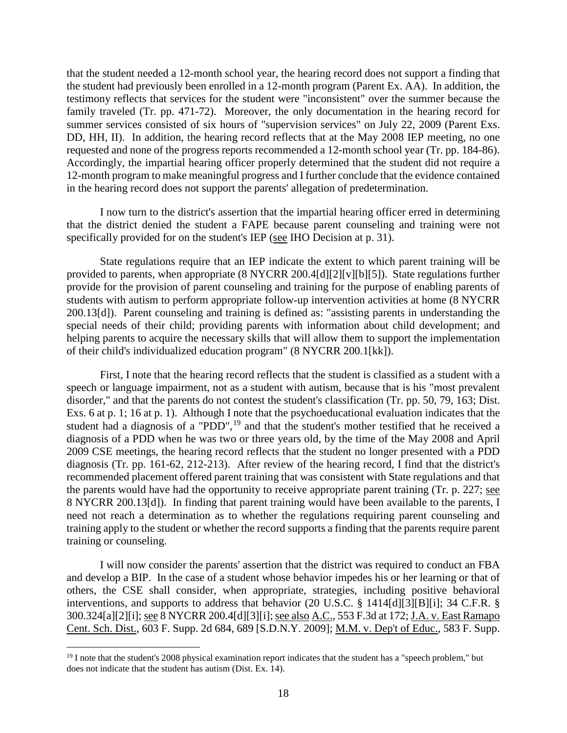that the student needed a 12-month school year, the hearing record does not support a finding that the student had previously been enrolled in a 12-month program (Parent Ex. AA). In addition, the testimony reflects that services for the student were "inconsistent" over the summer because the family traveled (Tr. pp. 471-72). Moreover, the only documentation in the hearing record for summer services consisted of six hours of "supervision services" on July 22, 2009 (Parent Exs. DD, HH, II). In addition, the hearing record reflects that at the May 2008 IEP meeting, no one requested and none of the progress reports recommended a 12-month school year (Tr. pp. 184-86). Accordingly, the impartial hearing officer properly determined that the student did not require a 12-month program to make meaningful progress and I further conclude that the evidence contained in the hearing record does not support the parents' allegation of predetermination.

I now turn to the district's assertion that the impartial hearing officer erred in determining that the district denied the student a FAPE because parent counseling and training were not specifically provided for on the student's IEP (see IHO Decision at p. 31).

State regulations require that an IEP indicate the extent to which parent training will be provided to parents, when appropriate (8 NYCRR 200.4[d][2][v][b][5]). State regulations further provide for the provision of parent counseling and training for the purpose of enabling parents of students with autism to perform appropriate follow-up intervention activities at home (8 NYCRR 200.13[d]). Parent counseling and training is defined as: "assisting parents in understanding the special needs of their child; providing parents with information about child development; and helping parents to acquire the necessary skills that will allow them to support the implementation of their child's individualized education program" (8 NYCRR 200.1[kk]).

First, I note that the hearing record reflects that the student is classified as a student with a speech or language impairment, not as a student with autism, because that is his "most prevalent disorder," and that the parents do not contest the student's classification (Tr. pp. 50, 79, 163; Dist. Exs. 6 at p. 1; 16 at p. 1). Although I note that the psychoeducational evaluation indicates that the student had a diagnosis of a "PDD",<sup>19</sup> and that the student's mother testified that he received a diagnosis of a PDD when he was two or three years old, by the time of the May 2008 and April 2009 CSE meetings, the hearing record reflects that the student no longer presented with a PDD diagnosis (Tr. pp. 161-62, 212-213). After review of the hearing record, I find that the district's recommended placement offered parent training that was consistent with State regulations and that the parents would have had the opportunity to receive appropriate parent training (Tr. p. 227; see 8 NYCRR 200.13[d]). In finding that parent training would have been available to the parents, I need not reach a determination as to whether the regulations requiring parent counseling and training apply to the student or whether the record supports a finding that the parents require parent training or counseling.

I will now consider the parents' assertion that the district was required to conduct an FBA and develop a BIP. In the case of a student whose behavior impedes his or her learning or that of others, the CSE shall consider, when appropriate, strategies, including positive behavioral interventions, and supports to address that behavior (20 U.S.C. § 1414[d][3][B][i]; 34 C.F.R. § 300.324[a][2][i]; see 8 NYCRR 200.4[d][3][i]; see also A.C., 553 F.3d at 172; J.A. v. East Ramapo Cent. Sch. Dist., 603 F. Supp. 2d 684, 689 [S.D.N.Y. 2009]; M.M. v. Dep't of Educ., 583 F. Supp.

 $19$  I note that the student's 2008 physical examination report indicates that the student has a "speech problem," but does not indicate that the student has autism (Dist. Ex. 14).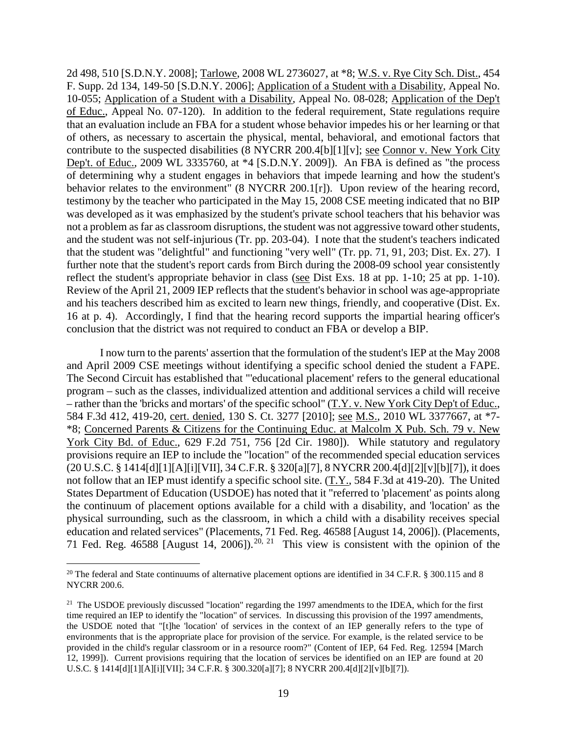2d 498, 510 [S.D.N.Y. 2008]; Tarlowe, 2008 WL 2736027, at \*8; W.S. v. Rye City Sch. Dist., 454 F. Supp. 2d 134, 149-50 [S.D.N.Y. 2006]; Application of a Student with a Disability, Appeal No. 10-055; Application of a Student with a Disability, Appeal No. 08-028; Application of the Dep't of Educ., Appeal No. 07-120). In addition to the federal requirement, State regulations require that an evaluation include an FBA for a student whose behavior impedes his or her learning or that of others, as necessary to ascertain the physical, mental, behavioral, and emotional factors that contribute to the suspected disabilities (8 NYCRR 200.4[b][1][v]; see Connor v. New York City Dep't. of Educ., 2009 WL 3335760, at \*4 [S.D.N.Y. 2009]). An FBA is defined as "the process of determining why a student engages in behaviors that impede learning and how the student's behavior relates to the environment" (8 NYCRR 200.1[r]). Upon review of the hearing record, testimony by the teacher who participated in the May 15, 2008 CSE meeting indicated that no BIP was developed as it was emphasized by the student's private school teachers that his behavior was not a problem as far as classroom disruptions, the student was not aggressive toward other students, and the student was not self-injurious (Tr. pp. 203-04). I note that the student's teachers indicated that the student was "delightful" and functioning "very well" (Tr. pp. 71, 91, 203; Dist. Ex. 27). I further note that the student's report cards from Birch during the 2008-09 school year consistently reflect the student's appropriate behavior in class (see Dist Exs. 18 at pp. 1-10; 25 at pp. 1-10). Review of the April 21, 2009 IEP reflects that the student's behavior in school was age-appropriate and his teachers described him as excited to learn new things, friendly, and cooperative (Dist. Ex. 16 at p. 4). Accordingly, I find that the hearing record supports the impartial hearing officer's conclusion that the district was not required to conduct an FBA or develop a BIP.

I now turn to the parents' assertion that the formulation of the student's IEP at the May 2008 and April 2009 CSE meetings without identifying a specific school denied the student a FAPE. The Second Circuit has established that "'educational placement' refers to the general educational program – such as the classes, individualized attention and additional services a child will receive – rather than the 'bricks and mortars' of the specific school" (T.Y. v. New York City Dep't of Educ., 584 F.3d 412, 419-20, cert. denied, 130 S. Ct. 3277 [2010]; see M.S., 2010 WL 3377667, at \*7- \*8; Concerned Parents & Citizens for the Continuing Educ. at Malcolm X Pub. Sch. 79 v. New York City Bd. of Educ., 629 F.2d 751, 756 [2d Cir. 1980]). While statutory and regulatory provisions require an IEP to include the "location" of the recommended special education services (20 U.S.C. § 1414[d][1][A][i][VII], 34 C.F.R. § 320[a][7], 8 NYCRR 200.4[d][2][v][b][7]), it does not follow that an IEP must identify a specific school site. (T.Y., 584 F.3d at 419-20). The United States Department of Education (USDOE) has noted that it "referred to 'placement' as points along the continuum of placement options available for a child with a disability, and 'location' as the physical surrounding, such as the classroom, in which a child with a disability receives special education and related services" (Placements, 71 Fed. Reg. 46588 [August 14, 2006]). (Placements, 71 Fed. Reg. 46588 [August 14, 2006]).<sup>20, 21</sup> This view is consistent with the opinion of the

<sup>&</sup>lt;sup>20</sup> The federal and State continuums of alternative placement options are identified in 34 C.F.R. § 300.115 and 8 NYCRR 200.6.

<sup>&</sup>lt;sup>21</sup> The USDOE previously discussed "location" regarding the 1997 amendments to the IDEA, which for the first time required an IEP to identify the "location" of services. In discussing this provision of the 1997 amendments, the USDOE noted that "[t]he 'location' of services in the context of an IEP generally refers to the type of environments that is the appropriate place for provision of the service. For example, is the related service to be provided in the child's regular classroom or in a resource room?" (Content of IEP, 64 Fed. Reg. 12594 [March 12, 1999]). Current provisions requiring that the location of services be identified on an IEP are found at 20 U.S.C. § 1414[d][1][A][i][VII]; 34 C.F.R. § 300.320[a][7]; 8 NYCRR 200.4[d][2][v][b][7]).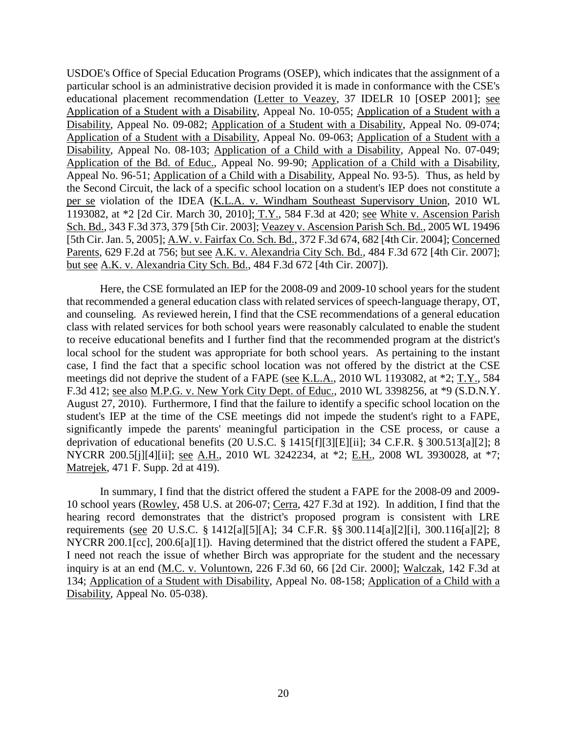USDOE's Office of Special Education Programs (OSEP), which indicates that the assignment of a particular school is an administrative decision provided it is made in conformance with the CSE's educational placement recommendation (Letter to Veazey, 37 IDELR 10 [OSEP 2001]; see Application of a Student with a Disability, Appeal No. 10-055; Application of a Student with a Disability, Appeal No. 09-082; Application of a Student with a Disability, Appeal No. 09-074; Application of a Student with a Disability, Appeal No. 09-063; Application of a Student with a Disability, Appeal No. 08-103; Application of a Child with a Disability, Appeal No. 07-049; Application of the Bd. of Educ., Appeal No. 99-90; Application of a Child with a Disability, Appeal No. 96-51; Application of a Child with a Disability, Appeal No. 93-5). Thus, as held by the Second Circuit, the lack of a specific school location on a student's IEP does not constitute a per se violation of the IDEA (K.L.A. v. Windham Southeast Supervisory Union, 2010 WL 1193082, at \*2 [2d Cir. March 30, 2010]; T.Y., 584 F.3d at 420; see White v. Ascension Parish Sch. Bd., 343 F.3d 373, 379 [5th Cir. 2003]; Veazey v. Ascension Parish Sch. Bd., 2005 WL 19496 [5th Cir. Jan. 5, 2005]; A.W. v. Fairfax Co. Sch. Bd., 372 F.3d 674, 682 [4th Cir. 2004]; Concerned Parents, 629 F.2d at 756; but see A.K. v. Alexandria City Sch. Bd., 484 F.3d 672 [4th Cir. 2007]; but see A.K. v. Alexandria City Sch. Bd., 484 F.3d 672 [4th Cir. 2007]).

Here, the CSE formulated an IEP for the 2008-09 and 2009-10 school years for the student that recommended a general education class with related services of speech-language therapy, OT, and counseling. As reviewed herein, I find that the CSE recommendations of a general education class with related services for both school years were reasonably calculated to enable the student to receive educational benefits and I further find that the recommended program at the district's local school for the student was appropriate for both school years. As pertaining to the instant case, I find the fact that a specific school location was not offered by the district at the CSE meetings did not deprive the student of a FAPE (see K.L.A., 2010 WL 1193082, at \*2; T.Y., 584 F.3d 412; see also M.P.G. v. New York City Dept. of Educ., 2010 WL 3398256, at \*9 (S.D.N.Y. August 27, 2010). Furthermore, I find that the failure to identify a specific school location on the student's IEP at the time of the CSE meetings did not impede the student's right to a FAPE, significantly impede the parents' meaningful participation in the CSE process, or cause a deprivation of educational benefits (20 U.S.C. § 1415[f][3][E][ii]; 34 C.F.R. § 300.513[a][2]; 8 NYCRR 200.5[j][4][ii]; <u>see A.H.</u>, 2010 WL 3242234, at \*2; E.H., 2008 WL 3930028, at \*7; Matrejek, 471 F. Supp. 2d at 419).

In summary, I find that the district offered the student a FAPE for the 2008-09 and 2009- 10 school years (Rowley, 458 U.S. at 206-07; Cerra, 427 F.3d at 192). In addition, I find that the hearing record demonstrates that the district's proposed program is consistent with LRE requirements (see 20 U.S.C. § 1412[a][5][A]; 34 C.F.R. §§ 300.114[a][2][i], 300.116[a][2]; 8 NYCRR 200.1[cc], 200.6[a][1]). Having determined that the district offered the student a FAPE, I need not reach the issue of whether Birch was appropriate for the student and the necessary inquiry is at an end (M.C. v. Voluntown, 226 F.3d 60, 66 [2d Cir. 2000]; Walczak, 142 F.3d at 134; Application of a Student with Disability, Appeal No. 08-158; Application of a Child with a Disability, Appeal No. 05-038).